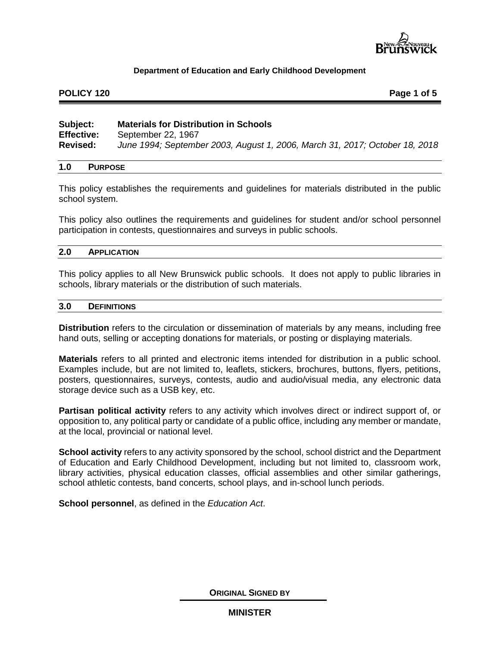

# **POLICY 120 Page 1 of 5**

| Subject:          | <b>Materials for Distribution in Schools</b>                                |
|-------------------|-----------------------------------------------------------------------------|
| <b>Effective:</b> | September 22, 1967                                                          |
| <b>Revised:</b>   | June 1994; September 2003, August 1, 2006, March 31, 2017; October 18, 2018 |

# **1.0 PURPOSE**

This policy establishes the requirements and guidelines for materials distributed in the public school system.

This policy also outlines the requirements and guidelines for student and/or school personnel participation in contests, questionnaires and surveys in public schools.

### **2.0 APPLICATION**

This policy applies to all New Brunswick public schools. It does not apply to public libraries in schools, library materials or the distribution of such materials.

#### **3.0 DEFINITIONS**

**Distribution** refers to the circulation or dissemination of materials by any means, including free hand outs, selling or accepting donations for materials, or posting or displaying materials.

**Materials** refers to all printed and electronic items intended for distribution in a public school. Examples include, but are not limited to, leaflets, stickers, brochures, buttons, flyers, petitions, posters, questionnaires, surveys, contests, audio and audio/visual media, any electronic data storage device such as a USB key, etc.

**Partisan political activity** refers to any activity which involves direct or indirect support of, or opposition to, any political party or candidate of a public office, including any member or mandate, at the local, provincial or national level.

**School activity** refers to any activity sponsored by the school, school district and the Department of Education and Early Childhood Development, including but not limited to, classroom work, library activities, physical education classes, official assemblies and other similar gatherings, school athletic contests, band concerts, school plays, and in-school lunch periods.

**School personnel**, as defined in the *Education Act*.

**ORIGINAL SIGNED BY**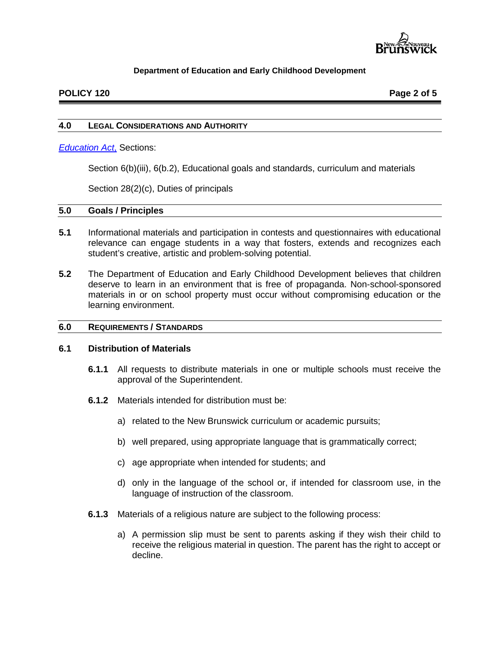

# **POLICY 120 Page 2 of 5**

#### **4.0 LEGAL CONSIDERATIONS AND AUTHORITY**

#### *[Education Act](http://laws.gnb.ca/en/BrowseTitle?letter=E)*, Sections:

Section 6(b)(iii), 6(b.2), Educational goals and standards, curriculum and materials

Section 28(2)(c), Duties of principals

#### **5.0 Goals / Principles**

- **5.1** Informational materials and participation in contests and questionnaires with educational relevance can engage students in a way that fosters, extends and recognizes each student's creative, artistic and problem-solving potential.
- **5.2** The Department of Education and Early Childhood Development believes that children deserve to learn in an environment that is free of propaganda. Non-school-sponsored materials in or on school property must occur without compromising education or the learning environment.

#### **6.0 REQUIREMENTS / STANDARDS**

#### **6.1 Distribution of Materials**

- **6.1.1** All requests to distribute materials in one or multiple schools must receive the approval of the Superintendent.
- **6.1.2** Materials intended for distribution must be:
	- a) related to the New Brunswick curriculum or academic pursuits;
	- b) well prepared, using appropriate language that is grammatically correct;
	- c) age appropriate when intended for students; and
	- d) only in the language of the school or, if intended for classroom use, in the language of instruction of the classroom.
- **6.1.3** Materials of a religious nature are subject to the following process:
	- a) A permission slip must be sent to parents asking if they wish their child to receive the religious material in question. The parent has the right to accept or decline.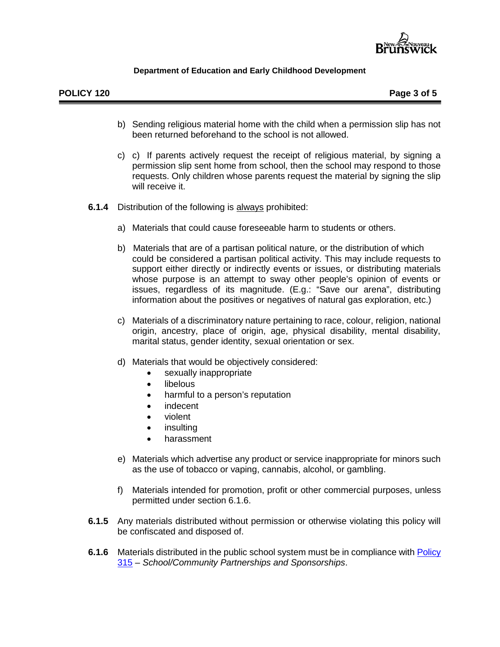

- b) Sending religious material home with the child when a permission slip has not been returned beforehand to the school is not allowed.
- c) c) If parents actively request the receipt of religious material, by signing a permission slip sent home from school, then the school may respond to those requests. Only children whose parents request the material by signing the slip will receive it.
- **6.1.4** Distribution of the following is always prohibited:
	- a) Materials that could cause foreseeable harm to students or others.
	- b) Materials that are of a partisan political nature, or the distribution of which could be considered a partisan political activity. This may include requests to support either directly or indirectly events or issues, or distributing materials whose purpose is an attempt to sway other people's opinion of events or issues, regardless of its magnitude. (E.g.: "Save our arena", distributing information about the positives or negatives of natural gas exploration, etc.)
	- c) Materials of a discriminatory nature pertaining to race, colour, religion, national origin, ancestry, place of origin, age, physical disability, mental disability, marital status, gender identity, sexual orientation or sex.
	- d) Materials that would be objectively considered:
		- sexually inappropriate
		- libelous
		- harmful to a person's reputation
		- indecent
		- violent
		- **insulting**
		- harassment
	- e) Materials which advertise any product or service inappropriate for minors such as the use of tobacco or vaping, cannabis, alcohol, or gambling.
	- f) Materials intended for promotion, profit or other commercial purposes, unless permitted under section 6.1.6.
- **6.1.5** Any materials distributed without permission or otherwise violating this policy will be confiscated and disposed of.
- **6.1.6** Materials distributed in the public school system must be in compliance with Policy [315](http://www2.gnb.ca/content/gnb/en/departments/education/k12/content/policies.html) – *School/Community Partnerships and Sponsorships*.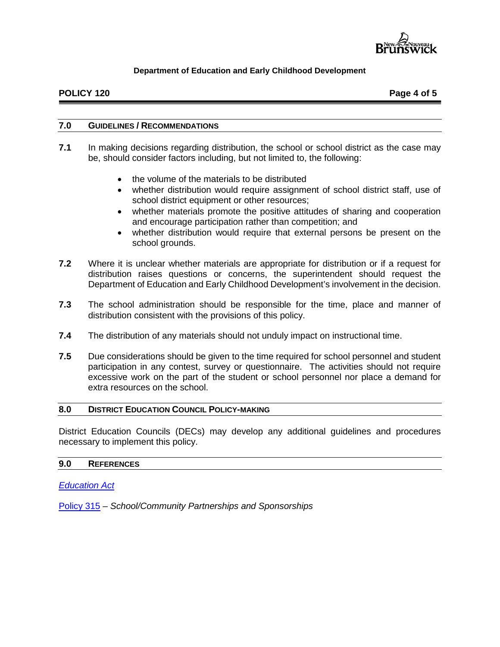

# **POLICY 120 Page 4 of 5**

#### **7.0 GUIDELINES / RECOMMENDATIONS**

- **7.1** In making decisions regarding distribution, the school or school district as the case may be, should consider factors including, but not limited to, the following:
	- the volume of the materials to be distributed
	- whether distribution would require assignment of school district staff, use of school district equipment or other resources;
	- whether materials promote the positive attitudes of sharing and cooperation and encourage participation rather than competition; and
	- whether distribution would require that external persons be present on the school grounds.
- **7.2** Where it is unclear whether materials are appropriate for distribution or if a request for distribution raises questions or concerns, the superintendent should request the Department of Education and Early Childhood Development's involvement in the decision.
- **7.3** The school administration should be responsible for the time, place and manner of distribution consistent with the provisions of this policy.
- **7.4** The distribution of any materials should not unduly impact on instructional time.
- **7.5** Due considerations should be given to the time required for school personnel and student participation in any contest, survey or questionnaire. The activities should not require excessive work on the part of the student or school personnel nor place a demand for extra resources on the school.

#### **8.0 DISTRICT EDUCATION COUNCIL POLICY-MAKING**

District Education Councils (DECs) may develop any additional guidelines and procedures necessary to implement this policy.

#### **9.0 REFERENCES**

*[Education Act](http://laws.gnb.ca/en/BrowseTitle?letter=E)*

[Policy 315](http://www2.gnb.ca/content/gnb/en/departments/education/k12/content/policies.html) – *School/Community Partnerships and Sponsorships*